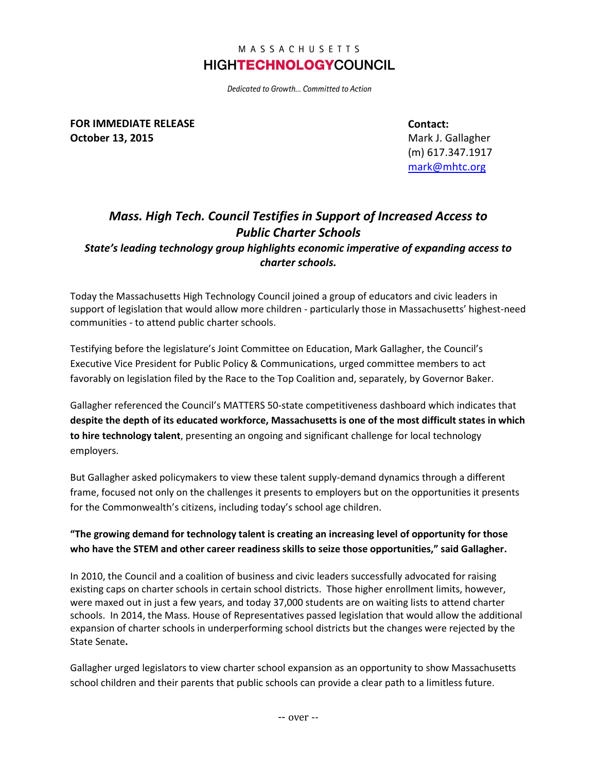## MASSACHUSETTS **HIGHTECHNOLOGYCOUNCIL**

Dedicated to Growth... Committed to Action

**FOR IMMEDIATE RELEASE October 13, 2015**

**Contact:**

Mark J. Gallagher (m) 617.347.1917 [mark@mhtc.org](mailto:chris@mhtc.org)

## *Mass. High Tech. Council Testifies in Support of Increased Access to Public Charter Schools*

*State's leading technology group highlights economic imperative of expanding access to charter schools.*

Today the Massachusetts High Technology Council joined a group of educators and civic leaders in support of legislation that would allow more children - particularly those in Massachusetts' highest-need communities - to attend public charter schools.

Testifying before the legislature's Joint Committee on Education, Mark Gallagher, the Council's Executive Vice President for Public Policy & Communications, urged committee members to act favorably on legislation filed by the Race to the Top Coalition and, separately, by Governor Baker.

Gallagher referenced the Council's MATTERS 50-state competitiveness dashboard which indicates that **despite the depth of its educated workforce, Massachusetts is one of the most difficult states in which to hire technology talent**, presenting an ongoing and significant challenge for local technology employers.

But Gallagher asked policymakers to view these talent supply-demand dynamics through a different frame, focused not only on the challenges it presents to employers but on the opportunities it presents for the Commonwealth's citizens, including today's school age children.

## **"The growing demand for technology talent is creating an increasing level of opportunity for those who have the STEM and other career readiness skills to seize those opportunities," said Gallagher.**

In 2010, the Council and a coalition of business and civic leaders successfully advocated for raising existing caps on charter schools in certain school districts. Those higher enrollment limits, however, were maxed out in just a few years, and today 37,000 students are on waiting lists to attend charter schools. In 2014, the Mass. House of Representatives passed legislation that would allow the additional expansion of charter schools in underperforming school districts but the changes were rejected by the State Senate**.** 

Gallagher urged legislators to view charter school expansion as an opportunity to show Massachusetts school children and their parents that public schools can provide a clear path to a limitless future.